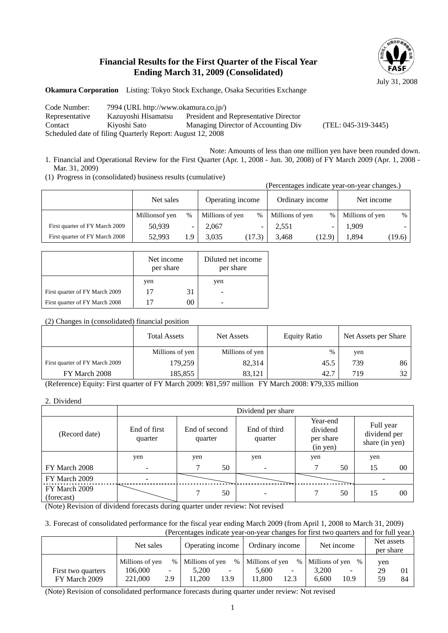## **Financial Results for the First Quarter of the Fiscal Year Ending March 31, 2009 (Consolidated)**



**Okamura Corporation** Listing: Tokyo Stock Exchange, Osaka Securities Exchange

Code Number: 7994 (URL http://www.okamura.co.jp/) Representative Kazuyoshi Hisamatsu President and Representative Director Contact Kiyoshi Sato Managing Director of Accounting Div (TEL: 045-319-3445) Scheduled date of filing Quarterly Report: August 12, 2008

- Note: Amounts of less than one million yen have been rounded down. 1. Financial and Operational Review for the First Quarter (Apr. 1, 2008 - Jun. 30, 2008) of FY March 2009 (Apr. 1, 2008 - Mar. 31, 2009)
- (1) Progress in (consolidated) business results (cumulative)

|                                |                 |               |                  |                              | (Percentages indicate year-on-year changes.) |        |                 |        |
|--------------------------------|-----------------|---------------|------------------|------------------------------|----------------------------------------------|--------|-----------------|--------|
|                                | Net sales       |               | Operating income |                              | Ordinary income                              |        | Net income      |        |
|                                | Millions of yen | $\frac{0}{0}$ | Millions of yen  | %                            | Millions of yen                              | $\%$   | Millions of yen | $\%$   |
| First quarter of FY March 2009 | 50,939          | -             | 2,067            | $\qquad \qquad \blacksquare$ | 2,551                                        |        | 1,909           |        |
| First quarter of FY March 2008 | 52.993          | 1.9           | 3.035            | (17.3)                       | 3.468                                        | (12.9) | 1.894           | (19.6) |

|                                | Net income<br>per share |    | Diluted net income<br>per share |  |
|--------------------------------|-------------------------|----|---------------------------------|--|
|                                | yen                     |    | yen                             |  |
| First quarter of FY March 2009 | 17                      | 31 |                                 |  |
| First quarter of FY March 2008 | 17                      |    |                                 |  |

### (2) Changes in (consolidated) financial position

|                                | <b>Total Assets</b> | Net Assets      | <b>Equity Ratio</b> | Net Assets per Share |    |
|--------------------------------|---------------------|-----------------|---------------------|----------------------|----|
|                                | Millions of yen     | Millions of yen | $\%$                | yen                  |    |
| First quarter of FY March 2009 | 179,259             | 82,314          | 45.5                | 739                  | 86 |
| FY March 2008                  | 185,855             | 83.121          | 42.7                | 719                  | 32 |

(Reference) Equity: First quarter of FY March 2009: ¥81,597 million FY March 2008: ¥79,335 million

<sup>2.</sup> Dividend

|                             | Dividend per share       |                          |    |                         |                                               |    |                                             |                |
|-----------------------------|--------------------------|--------------------------|----|-------------------------|-----------------------------------------------|----|---------------------------------------------|----------------|
| (Record date)               | End of first<br>quarter  | End of second<br>quarter |    | End of third<br>quarter | Year-end<br>dividend<br>per share<br>(in yen) |    | Full year<br>dividend per<br>share (in yen) |                |
|                             | yen                      | yen                      |    | yen                     | yen                                           |    | yen                                         |                |
| FY March 2008               | $\overline{\phantom{0}}$ |                          | 50 |                         |                                               | 50 | 15                                          | $00\,$         |
| FY March 2009               |                          |                          |    |                         |                                               |    |                                             |                |
| FY March 2009<br>(forecast) |                          |                          | 50 |                         |                                               | 50 | 15                                          | 0 <sup>0</sup> |

(Note) Revision of dividend forecasts during quarter under review: Not revised

3. Forecast of consolidated performance for the fiscal year ending March 2009 (from April 1, 2008 to March 31, 2009) (Percentages indicate year-on-year changes for first two quarters and for full year.)

|                                     | Net sales<br>Operating income         |                                         | Ordinary income                    |                   | Net income                         |                                          | Net assets<br>per share           |                   |                 |                      |
|-------------------------------------|---------------------------------------|-----------------------------------------|------------------------------------|-------------------|------------------------------------|------------------------------------------|-----------------------------------|-------------------|-----------------|----------------------|
| First two quarters<br>FY March 2009 | Millions of yen<br>106,000<br>221,000 | $\%$<br>$\overline{\phantom{0}}$<br>2.9 | Millions of yen<br>5.200<br>11.200 | $\%$<br>۰<br>13.9 | Millions of yen<br>5.600<br>11.800 | $\%$<br>$\overline{\phantom{0}}$<br>12.3 | Millions of yen<br>3.200<br>6.600 | $\%$<br>-<br>10.9 | yen<br>29<br>59 | 0 <sub>1</sub><br>84 |

(Note) Revision of consolidated performance forecasts during quarter under review: Not revised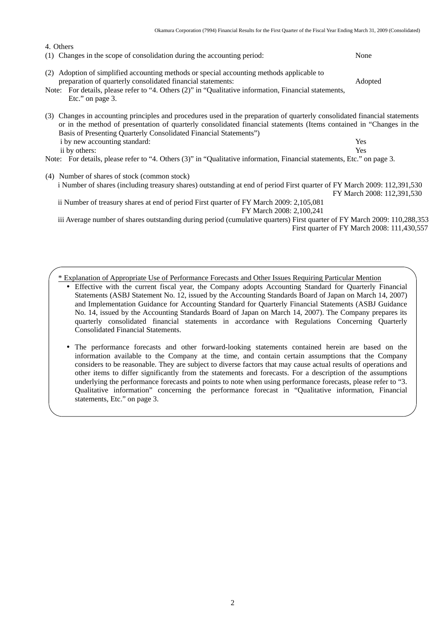| 4. Others                                                                                                                                                                                                                                                                                                              |                            |
|------------------------------------------------------------------------------------------------------------------------------------------------------------------------------------------------------------------------------------------------------------------------------------------------------------------------|----------------------------|
| Changes in the scope of consolidation during the accounting period:<br>(1)                                                                                                                                                                                                                                             | None                       |
| Adoption of simplified accounting methods or special accounting methods applicable to<br>(2)<br>preparation of quarterly consolidated financial statements:<br>Note: For details, please refer to "4. Others (2)" in "Qualitative information, Financial statements,<br>Etc." on page 3.                               | Adopted                    |
| (3) Changes in accounting principles and procedures used in the preparation of quarterly consolidated financial statements<br>or in the method of presentation of quarterly consolidated financial statements (Items contained in "Changes in the<br>Basis of Presenting Quarterly Consolidated Financial Statements") |                            |
| i by new accounting standard:                                                                                                                                                                                                                                                                                          | <b>Yes</b>                 |
| ii by others:                                                                                                                                                                                                                                                                                                          | <b>Yes</b>                 |
| Note: For details, please refer to "4. Others (3)" in "Qualitative information, Financial statements, Etc." on page 3.                                                                                                                                                                                                 |                            |
| Number of shares of stock (common stock)<br>(4)<br>i Number of shares (including treasury shares) outstanding at end of period First quarter of FY March 2009: 112,391,530                                                                                                                                             | FY March 2008: 112,391,530 |
| ii Number of treasury shares at end of period First quarter of FY March 2009: 2,105,081<br>FY March 2008: 2,100,241                                                                                                                                                                                                    |                            |
|                                                                                                                                                                                                                                                                                                                        |                            |

iii Average number of shares outstanding during period (cumulative quarters) First quarter of FY March 2009: 110,288,353 First quarter of FY March 2008: 111,430,557

\* Explanation of Appropriate Use of Performance Forecasts and Other Issues Requiring Particular Mention

• Effective with the current fiscal year, the Company adopts Accounting Standard for Quarterly Financial Statements (ASBJ Statement No. 12, issued by the Accounting Standards Board of Japan on March 14, 2007) and Implementation Guidance for Accounting Standard for Quarterly Financial Statements (ASBJ Guidance No. 14, issued by the Accounting Standards Board of Japan on March 14, 2007). The Company prepares its quarterly consolidated financial statements in accordance with Regulations Concerning Quarterly Consolidated Financial Statements.

y The performance forecasts and other forward-looking statements contained herein are based on the information available to the Company at the time, and contain certain assumptions that the Company considers to be reasonable. They are subject to diverse factors that may cause actual results of operations and other items to differ significantly from the statements and forecasts. For a description of the assumptions underlying the performance forecasts and points to note when using performance forecasts, please refer to "3. Qualitative information" concerning the performance forecast in "Qualitative information, Financial statements, Etc." on page 3.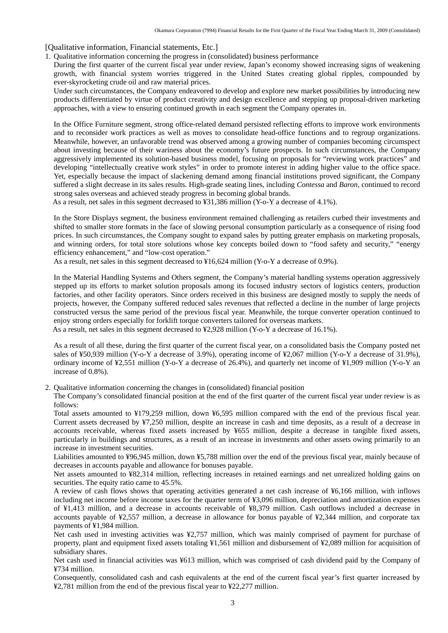[Qualitative information, Financial statements, Etc.]

1. Qualitative information concerning the progress in (consolidated) business performance

During the first quarter of the current fiscal year under review, Japan's economy showed increasing signs of weakening growth, with financial system worries triggered in the United States creating global ripples, compounded by ever-skyrocketing crude oil and raw material prices.

Under such circumstances, the Company endeavored to develop and explore new market possibilities by introducing new products differentiated by virtue of product creativity and design excellence and stepping up proposal-driven marketing approaches, with a view to ensuring continued growth in each segment the Company operates in.

In the Office Furniture segment, strong office-related demand persisted reflecting efforts to improve work environments and to reconsider work practices as well as moves to consolidate head-office functions and to regroup organizations. Meanwhile, however, an unfavorable trend was observed among a growing number of companies becoming circumspect about investing because of their wariness about the economy's future prospects. In such circumstances, the Company aggressively implemented its solution-based business model, focusing on proposals for "reviewing work practices" and developing "intellectually creative work styles" in order to promote interest in adding higher value to the office space. Yet, especially because the impact of slackening demand among financial institutions proved significant, the Company suffered a slight decrease in its sales results. High-grade seating lines, including *Contessa* and *Baron*, continued to record strong sales overseas and achieved steady progress in becoming global brands.

As a result, net sales in this segment decreased to ¥31,386 million (Y-o-Y a decrease of 4.1%).

In the Store Displays segment, the business environment remained challenging as retailers curbed their investments and shifted to smaller store formats in the face of slowing personal consumption particularly as a consequence of rising food prices. In such circumstances, the Company sought to expand sales by putting greater emphasis on marketing proposals, and winning orders, for total store solutions whose key concepts boiled down to "food safety and security," "energy efficiency enhancement," and "low-cost operation."

As a result, net sales in this segment decreased to ¥16,624 million (Y-o-Y a decrease of 0.9%).

In the Material Handling Systems and Others segment, the Company's material handling systems operation aggressively stepped up its efforts to market solution proposals among its focused industry sectors of logistics centers, production factories, and other facility operators. Since orders received in this business are designed mostly to supply the needs of projects, however, the Company suffered reduced sales revenues that reflected a decline in the number of large projects constructed versus the same period of the previous fiscal year. Meanwhile, the torque converter operation continued to enjoy strong orders especially for forklift torque converters tailored for overseas markets.

As a result, net sales in this segment decreased to ¥2,928 million (Y-o-Y a decrease of 16.1%).

As a result of all these, during the first quarter of the current fiscal year, on a consolidated basis the Company posted net sales of ¥50,939 million (Y-o-Y a decrease of 3.9%), operating income of ¥2,067 million (Y-o-Y a decrease of 31.9%), ordinary income of ¥2,551 million (Y-o-Y a decrease of 26.4%), and quarterly net income of ¥1,909 million (Y-o-Y an increase of 0.8%).

2. Qualitative information concerning the changes in (consolidated) financial position

The Company's consolidated financial position at the end of the first quarter of the current fiscal year under review is as follows:

Total assets amounted to ¥179,259 million, down ¥6,595 million compared with the end of the previous fiscal year. Current assets decreased by ¥7,250 million, despite an increase in cash and time deposits, as a result of a decrease in accounts receivable, whereas fixed assets increased by ¥655 million, despite a decrease in tangible fixed assets, particularly in buildings and structures, as a result of an increase in investments and other assets owing primarily to an increase in investment securities.

Liabilities amounted to ¥96,945 million, down ¥5,788 million over the end of the previous fiscal year, mainly because of decreases in accounts payable and allowance for bonuses payable.

Net assets amounted to ¥82,314 million, reflecting increases in retained earnings and net unrealized holding gains on securities. The equity ratio came to 45.5%.

A review of cash flows shows that operating activities generated a net cash increase of ¥6,166 million, with inflows including net income before income taxes for the quarter term of ¥3,096 million, depreciation and amortization expenses of ¥1,413 million, and a decrease in accounts receivable of ¥8,379 million. Cash outflows included a decrease in accounts payable of ¥2,557 million, a decrease in allowance for bonus payable of ¥2,344 million, and corporate tax payments of ¥1,984 million.

Net cash used in investing activities was ¥2,757 million, which was mainly comprised of payment for purchase of property, plant and equipment fixed assets totaling ¥1,561 million and disbursement of ¥2,089 million for acquisition of subsidiary shares.

Net cash used in financial activities was ¥613 million, which was comprised of cash dividend paid by the Company of ¥734 million.

Consequently, consolidated cash and cash equivalents at the end of the current fiscal year's first quarter increased by ¥2,781 million from the end of the previous fiscal year to ¥22,277 million.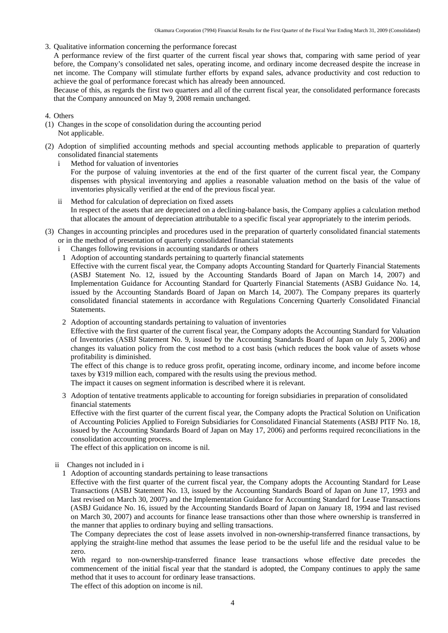3. Qualitative information concerning the performance forecast

A performance review of the first quarter of the current fiscal year shows that, comparing with same period of year before, the Company's consolidated net sales, operating income, and ordinary income decreased despite the increase in net income. The Company will stimulate further efforts by expand sales, advance productivity and cost reduction to achieve the goal of performance forecast which has already been announced.

Because of this, as regards the first two quarters and all of the current fiscal year, the consolidated performance forecasts that the Company announced on May 9, 2008 remain unchanged.

- 4. Others
- (1) Changes in the scope of consolidation during the accounting period Not applicable.
- (2) Adoption of simplified accounting methods and special accounting methods applicable to preparation of quarterly consolidated financial statements
	- i Method for valuation of inventories

For the purpose of valuing inventories at the end of the first quarter of the current fiscal year, the Company dispenses with physical inventorying and applies a reasonable valuation method on the basis of the value of inventories physically verified at the end of the previous fiscal year.

- ii Method for calculation of depreciation on fixed assets In respect of the assets that are depreciated on a declining-balance basis, the Company applies a calculation method that allocates the amount of depreciation attributable to a specific fiscal year appropriately to the interim periods.
- (3) Changes in accounting principles and procedures used in the preparation of quarterly consolidated financial statements or in the method of presentation of quarterly consolidated financial statements
	- Changes following revisions in accounting standards or others
	- 1 Adoption of accounting standards pertaining to quarterly financial statements

Effective with the current fiscal year, the Company adopts Accounting Standard for Quarterly Financial Statements (ASBJ Statement No. 12, issued by the Accounting Standards Board of Japan on March 14, 2007) and Implementation Guidance for Accounting Standard for Quarterly Financial Statements (ASBJ Guidance No. 14, issued by the Accounting Standards Board of Japan on March 14, 2007). The Company prepares its quarterly consolidated financial statements in accordance with Regulations Concerning Quarterly Consolidated Financial Statements.

2 Adoption of accounting standards pertaining to valuation of inventories

Effective with the first quarter of the current fiscal year, the Company adopts the Accounting Standard for Valuation of Inventories (ASBJ Statement No. 9, issued by the Accounting Standards Board of Japan on July 5, 2006) and changes its valuation policy from the cost method to a cost basis (which reduces the book value of assets whose profitability is diminished.

The effect of this change is to reduce gross profit, operating income, ordinary income, and income before income taxes by ¥319 million each, compared with the results using the previous method. The impact it causes on segment information is described where it is relevant.

3 Adoption of tentative treatments applicable to accounting for foreign subsidiaries in preparation of consolidated financial statements

Effective with the first quarter of the current fiscal year, the Company adopts the Practical Solution on Unification of Accounting Policies Applied to Foreign Subsidiaries for Consolidated Financial Statements (ASBJ PITF No. 18, issued by the Accounting Standards Board of Japan on May 17, 2006) and performs required reconciliations in the consolidation accounting process.

The effect of this application on income is nil.

ii Changes not included in i

1 Adoption of accounting standards pertaining to lease transactions

Effective with the first quarter of the current fiscal year, the Company adopts the Accounting Standard for Lease Transactions (ASBJ Statement No. 13, issued by the Accounting Standards Board of Japan on June 17, 1993 and last revised on March 30, 2007) and the Implementation Guidance for Accounting Standard for Lease Transactions (ASBJ Guidance No. 16, issued by the Accounting Standards Board of Japan on January 18, 1994 and last revised on March 30, 2007) and accounts for finance lease transactions other than those where ownership is transferred in the manner that applies to ordinary buying and selling transactions.

The Company depreciates the cost of lease assets involved in non-ownership-transferred finance transactions, by applying the straight-line method that assumes the lease period to be the useful life and the residual value to be zero.

With regard to non-ownership-transferred finance lease transactions whose effective date precedes the commencement of the initial fiscal year that the standard is adopted, the Company continues to apply the same method that it uses to account for ordinary lease transactions.

The effect of this adoption on income is nil.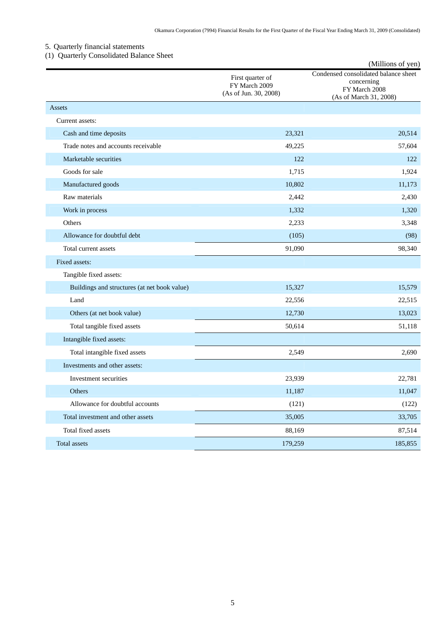## 5. Quarterly financial statements

# (1) Quarterly Consolidated Balance Sheet

|                                              |                                                            | (Millions of yen)                                                                             |
|----------------------------------------------|------------------------------------------------------------|-----------------------------------------------------------------------------------------------|
|                                              | First quarter of<br>FY March 2009<br>(As of Jun. 30, 2008) | Condensed consolidated balance sheet<br>concerning<br>FY March 2008<br>(As of March 31, 2008) |
| Assets                                       |                                                            |                                                                                               |
| Current assets:                              |                                                            |                                                                                               |
| Cash and time deposits                       | 23,321                                                     | 20,514                                                                                        |
| Trade notes and accounts receivable          | 49,225                                                     | 57,604                                                                                        |
| Marketable securities                        | 122                                                        | 122                                                                                           |
| Goods for sale                               | 1,715                                                      | 1,924                                                                                         |
| Manufactured goods                           | 10,802                                                     | 11,173                                                                                        |
| Raw materials                                | 2,442                                                      | 2,430                                                                                         |
| Work in process                              | 1,332                                                      | 1,320                                                                                         |
| Others                                       | 2,233                                                      | 3,348                                                                                         |
| Allowance for doubtful debt                  | (105)                                                      | (98)                                                                                          |
| Total current assets                         | 91,090                                                     | 98,340                                                                                        |
| Fixed assets:                                |                                                            |                                                                                               |
| Tangible fixed assets:                       |                                                            |                                                                                               |
| Buildings and structures (at net book value) | 15,327                                                     | 15,579                                                                                        |
| Land                                         | 22,556                                                     | 22,515                                                                                        |
| Others (at net book value)                   | 12,730                                                     | 13,023                                                                                        |
| Total tangible fixed assets                  | 50,614                                                     | 51,118                                                                                        |
| Intangible fixed assets:                     |                                                            |                                                                                               |
| Total intangible fixed assets                | 2,549                                                      | 2,690                                                                                         |
| Investments and other assets:                |                                                            |                                                                                               |
| Investment securities                        | 23,939                                                     | 22,781                                                                                        |
| Others                                       | 11,187                                                     | 11,047                                                                                        |
| Allowance for doubtful accounts              | (121)                                                      | (122)                                                                                         |
| Total investment and other assets            | 35,005                                                     | 33,705                                                                                        |
| Total fixed assets                           | 88,169                                                     | 87,514                                                                                        |
| Total assets                                 | 179,259                                                    | 185,855                                                                                       |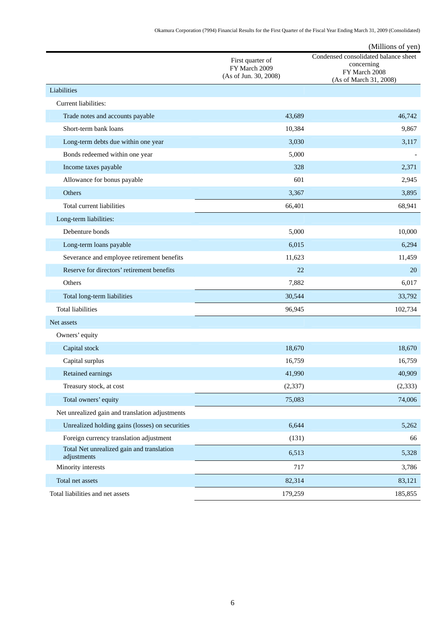Okamura Corporation (7994) Financial Results for the First Quarter of the Fiscal Year Ending March 31, 2009 (Consolidated)

|                                                          |                                                            | (Millions of yen)                                                                             |
|----------------------------------------------------------|------------------------------------------------------------|-----------------------------------------------------------------------------------------------|
|                                                          | First quarter of<br>FY March 2009<br>(As of Jun. 30, 2008) | Condensed consolidated balance sheet<br>concerning<br>FY March 2008<br>(As of March 31, 2008) |
| Liabilities                                              |                                                            |                                                                                               |
| Current liabilities:                                     |                                                            |                                                                                               |
| Trade notes and accounts payable                         | 43,689                                                     | 46,742                                                                                        |
| Short-term bank loans                                    | 10,384                                                     | 9,867                                                                                         |
| Long-term debts due within one year                      | 3,030                                                      | 3,117                                                                                         |
| Bonds redeemed within one year                           | 5,000                                                      |                                                                                               |
| Income taxes payable                                     | 328                                                        | 2,371                                                                                         |
| Allowance for bonus payable                              | 601                                                        | 2,945                                                                                         |
| Others                                                   | 3.367                                                      | 3,895                                                                                         |
| Total current liabilities                                | 66,401                                                     | 68,941                                                                                        |
| Long-term liabilities:                                   |                                                            |                                                                                               |
| Debenture bonds                                          | 5,000                                                      | 10,000                                                                                        |
| Long-term loans payable                                  | 6,015                                                      | 6,294                                                                                         |
| Severance and employee retirement benefits               | 11,623                                                     | 11,459                                                                                        |
| Reserve for directors' retirement benefits               | 22                                                         | 20                                                                                            |
| Others                                                   | 7,882                                                      | 6,017                                                                                         |
| Total long-term liabilities                              | 30,544                                                     | 33,792                                                                                        |
| <b>Total liabilities</b>                                 | 96,945                                                     | 102,734                                                                                       |
| Net assets                                               |                                                            |                                                                                               |
| Owners' equity                                           |                                                            |                                                                                               |
| Capital stock                                            | 18,670                                                     | 18,670                                                                                        |
| Capital surplus                                          | 16,759                                                     | 16,759                                                                                        |
| Retained earnings                                        | 41,990                                                     | 40,909                                                                                        |
| Treasury stock, at cost                                  | (2, 337)                                                   | (2, 333)                                                                                      |
| Total owners' equity                                     | 75,083                                                     | 74,006                                                                                        |
| Net unrealized gain and translation adjustments          |                                                            |                                                                                               |
| Unrealized holding gains (losses) on securities          | 6,644                                                      | 5,262                                                                                         |
| Foreign currency translation adjustment                  | (131)                                                      | 66                                                                                            |
| Total Net unrealized gain and translation<br>adjustments | 6,513                                                      | 5,328                                                                                         |
| Minority interests                                       | 717                                                        | 3,786                                                                                         |
| Total net assets                                         | 82,314                                                     | 83,121                                                                                        |
| Total liabilities and net assets                         | 179,259                                                    | 185,855                                                                                       |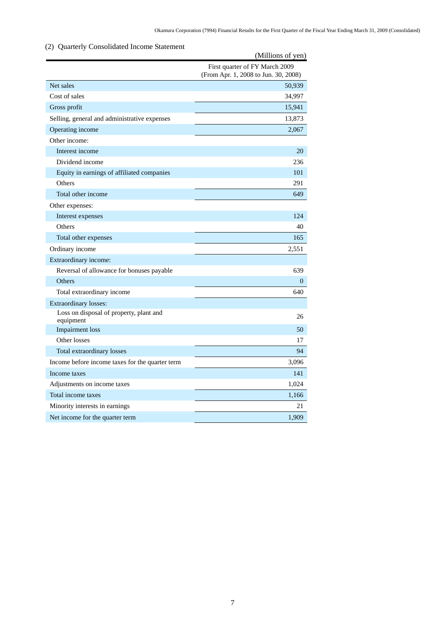## (2) Quarterly Consolidated Income Statement

|                                                      | (Millions of yen)                                                      |
|------------------------------------------------------|------------------------------------------------------------------------|
|                                                      | First quarter of FY March 2009<br>(From Apr. 1, 2008 to Jun. 30, 2008) |
| Net sales                                            | 50,939                                                                 |
| Cost of sales                                        | 34,997                                                                 |
| Gross profit                                         | 15,941                                                                 |
| Selling, general and administrative expenses         | 13,873                                                                 |
| Operating income                                     | 2,067                                                                  |
| Other income:                                        |                                                                        |
| Interest income                                      | 20                                                                     |
| Dividend income                                      | 236                                                                    |
| Equity in earnings of affiliated companies           | 101                                                                    |
| Others                                               | 291                                                                    |
| Total other income                                   | 649                                                                    |
| Other expenses:                                      |                                                                        |
| Interest expenses                                    | 124                                                                    |
| Others                                               | 40                                                                     |
| Total other expenses                                 | 165                                                                    |
| Ordinary income                                      | 2,551                                                                  |
| Extraordinary income:                                |                                                                        |
| Reversal of allowance for bonuses payable            | 639                                                                    |
| Others                                               | $\Omega$                                                               |
| Total extraordinary income                           | 640                                                                    |
| Extraordinary losses:                                |                                                                        |
| Loss on disposal of property, plant and<br>equipment | 26                                                                     |
| <b>Impairment</b> loss                               | 50                                                                     |
| Other losses                                         | 17                                                                     |
| Total extraordinary losses                           | 94                                                                     |
| Income before income taxes for the quarter term      | 3,096                                                                  |
| Income taxes                                         | 141                                                                    |
| Adjustments on income taxes                          | 1,024                                                                  |
| Total income taxes                                   | 1,166                                                                  |
| Minority interests in earnings                       | 21                                                                     |
| Net income for the quarter term                      | 1,909                                                                  |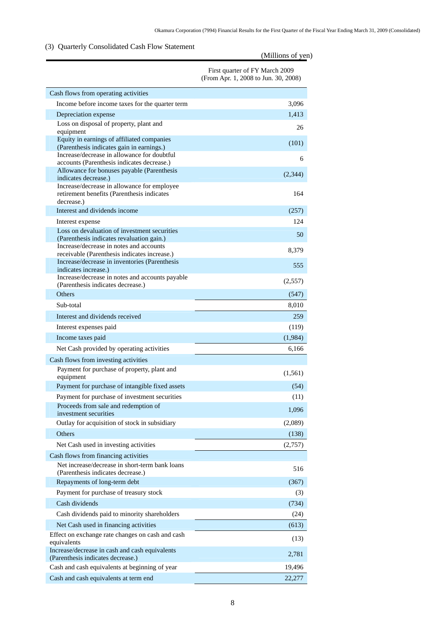## (3) Quarterly Consolidated Cash Flow Statement

|                                                                                                                                           | (Millions of yen)                                                      |
|-------------------------------------------------------------------------------------------------------------------------------------------|------------------------------------------------------------------------|
|                                                                                                                                           | First quarter of FY March 2009<br>(From Apr. 1, 2008 to Jun. 30, 2008) |
| Cash flows from operating activities                                                                                                      |                                                                        |
| Income before income taxes for the quarter term                                                                                           | 3,096                                                                  |
| Depreciation expense                                                                                                                      | 1,413                                                                  |
| Loss on disposal of property, plant and                                                                                                   | 26                                                                     |
| equipment<br>Equity in earnings of affiliated companies<br>(Parenthesis indicates gain in earnings.)                                      | (101)                                                                  |
| Increase/decrease in allowance for doubtful<br>accounts (Parenthesis indicates decrease.)                                                 | 6                                                                      |
| Allowance for bonuses payable (Parenthesis<br>indicates decrease.)                                                                        | (2, 344)                                                               |
| Increase/decrease in allowance for employee<br>retirement benefits (Parenthesis indicates<br>decrease.)                                   | 164                                                                    |
| Interest and dividends income                                                                                                             | (257)                                                                  |
| Interest expense                                                                                                                          | 124                                                                    |
| Loss on devaluation of investment securities<br>(Parenthesis indicates revaluation gain.)                                                 | 50                                                                     |
| Increase/decrease in notes and accounts<br>receivable (Parenthesis indicates increase.)<br>Increase/decrease in inventories (Parenthesis) | 8,379                                                                  |
| indicates increase.)                                                                                                                      | 555                                                                    |
| Increase/decrease in notes and accounts payable<br>(Parenthesis indicates decrease.)                                                      | (2,557)                                                                |
| <b>Others</b>                                                                                                                             | (547)                                                                  |
| Sub-total                                                                                                                                 | 8,010                                                                  |
| Interest and dividends received                                                                                                           | 259                                                                    |
| Interest expenses paid                                                                                                                    | (119)                                                                  |
| Income taxes paid                                                                                                                         | (1,984)                                                                |
| Net Cash provided by operating activities                                                                                                 | 6,166                                                                  |
| Cash flows from investing activities                                                                                                      |                                                                        |
| Payment for purchase of property, plant and<br>equipment                                                                                  | (1, 561)                                                               |
| Payment for purchase of intangible fixed assets                                                                                           | (54)                                                                   |
| Payment for purchase of investment securities                                                                                             | (11)                                                                   |
| Proceeds from sale and redemption of<br>investment securities                                                                             | 1,096                                                                  |
| Outlay for acquisition of stock in subsidiary                                                                                             | (2,089)                                                                |
| Others                                                                                                                                    | (138)                                                                  |
| Net Cash used in investing activities                                                                                                     | (2,757)                                                                |
| Cash flows from financing activities                                                                                                      |                                                                        |
| Net increase/decrease in short-term bank loans<br>(Parenthesis indicates decrease.)                                                       | 516                                                                    |
| Repayments of long-term debt                                                                                                              | (367)                                                                  |
| Payment for purchase of treasury stock                                                                                                    | (3)                                                                    |
| Cash dividends                                                                                                                            | (734)                                                                  |
| Cash dividends paid to minority shareholders                                                                                              | (24)                                                                   |
| Net Cash used in financing activities                                                                                                     | (613)                                                                  |
| Effect on exchange rate changes on cash and cash<br>equivalents                                                                           | (13)                                                                   |
| Increase/decrease in cash and cash equivalents<br>(Parenthesis indicates decrease.)                                                       | 2,781                                                                  |
| Cash and cash equivalents at beginning of year                                                                                            | 19,496                                                                 |
| Cash and cash equivalents at term end                                                                                                     | 22,277                                                                 |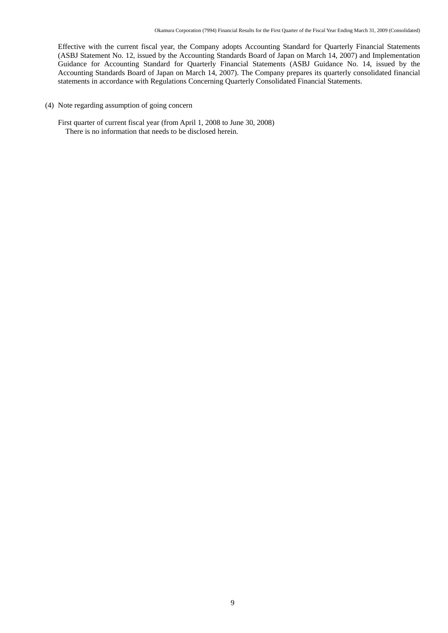Effective with the current fiscal year, the Company adopts Accounting Standard for Quarterly Financial Statements (ASBJ Statement No. 12, issued by the Accounting Standards Board of Japan on March 14, 2007) and Implementation Guidance for Accounting Standard for Quarterly Financial Statements (ASBJ Guidance No. 14, issued by the Accounting Standards Board of Japan on March 14, 2007). The Company prepares its quarterly consolidated financial statements in accordance with Regulations Concerning Quarterly Consolidated Financial Statements.

- (4) Note regarding assumption of going concern
	- First quarter of current fiscal year (from April 1, 2008 to June 30, 2008) There is no information that needs to be disclosed herein.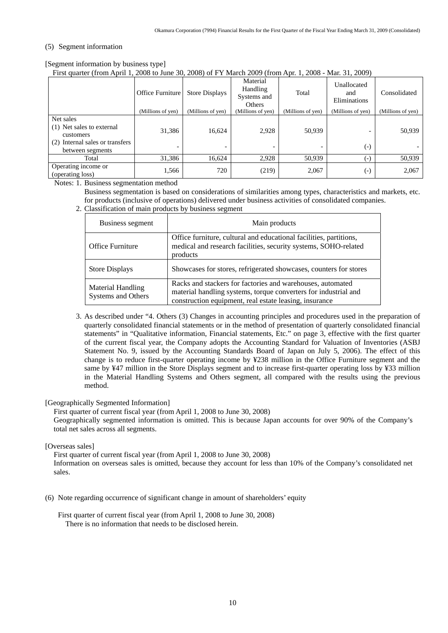#### (5) Segment information

[Segment information by business type]

First quarter (from April 1, 2008 to June 30, 2008) of FY March 2009 (from Apr. 1, 2008 - Mar. 31, 2009)

|                                                                                                            | Office Furniture  | <b>Store Displays</b> | Material<br>Handling<br>Systems and<br>Others | Total             | Unallocated<br>and<br>Eliminations             | Consolidated      |
|------------------------------------------------------------------------------------------------------------|-------------------|-----------------------|-----------------------------------------------|-------------------|------------------------------------------------|-------------------|
|                                                                                                            | (Millions of yen) | (Millions of yen)     | (Millions of yen)                             | (Millions of yen) | (Millions of yen)                              | (Millions of yen) |
| Net sales<br>(1) Net sales to external<br>customers<br>(2) Internal sales or transfers<br>between segments | 31,386<br>-       | 16,624                | 2,928                                         | 50,939            | $\overline{\phantom{0}}$<br>$(\textnormal{-})$ | 50,939            |
| Total                                                                                                      | 31,386            | 16,624                | 2,928                                         | 50,939            | ( – )                                          | 50,939            |
| Operating income or<br>(operating loss)                                                                    | 1,566             | 720                   | (219)                                         | 2,067             | $\left( -\right)$                              | 2,067             |

Notes: 1. Business segmentation method

Business segmentation is based on considerations of similarities among types, characteristics and markets, etc. for products (inclusive of operations) delivered under business activities of consolidated companies.

2. Classification of main products by business segment

| Business segment                               | Main products                                                                                                                                                                           |
|------------------------------------------------|-----------------------------------------------------------------------------------------------------------------------------------------------------------------------------------------|
| <b>Office Furniture</b>                        | Office furniture, cultural and educational facilities, partitions,<br>medical and research facilities, security systems, SOHO-related<br>products                                       |
| <b>Store Displays</b>                          | Showcases for stores, refrigerated showcases, counters for stores                                                                                                                       |
| <b>Material Handling</b><br>Systems and Others | Racks and stackers for factories and warehouses, automated<br>material handling systems, torque converters for industrial and<br>construction equipment, real estate leasing, insurance |

 3. As described under "4. Others (3) Changes in accounting principles and procedures used in the preparation of quarterly consolidated financial statements or in the method of presentation of quarterly consolidated financial statements" in "Qualitative information, Financial statements, Etc." on page 3, effective with the first quarter of the current fiscal year, the Company adopts the Accounting Standard for Valuation of Inventories (ASBJ Statement No. 9, issued by the Accounting Standards Board of Japan on July 5, 2006). The effect of this change is to reduce first-quarter operating income by ¥238 million in the Office Furniture segment and the same by ¥47 million in the Store Displays segment and to increase first-quarter operating loss by ¥33 million in the Material Handling Systems and Others segment, all compared with the results using the previous method.

[Geographically Segmented Information]

First quarter of current fiscal year (from April 1, 2008 to June 30, 2008)

Geographically segmented information is omitted. This is because Japan accounts for over 90% of the Company's total net sales across all segments.

[Overseas sales]

First quarter of current fiscal year (from April 1, 2008 to June 30, 2008) Information on overseas sales is omitted, because they account for less than 10% of the Company's consolidated net sales.

(6) Note regarding occurrence of significant change in amount of shareholders' equity

First quarter of current fiscal year (from April 1, 2008 to June 30, 2008) There is no information that needs to be disclosed herein.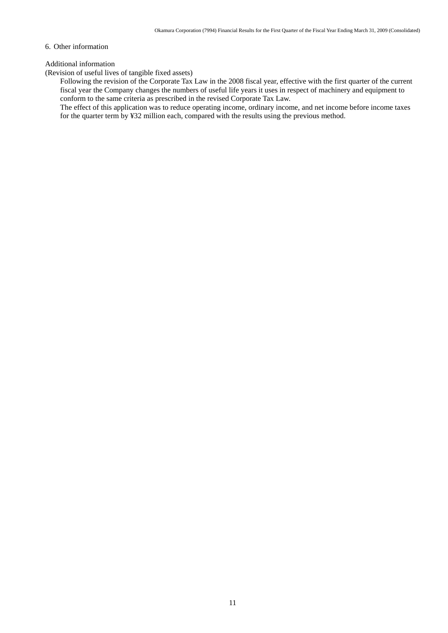#### 6. Other information

#### Additional information

(Revision of useful lives of tangible fixed assets)

Following the revision of the Corporate Tax Law in the 2008 fiscal year, effective with the first quarter of the current fiscal year the Company changes the numbers of useful life years it uses in respect of machinery and equipment to conform to the same criteria as prescribed in the revised Corporate Tax Law.

The effect of this application was to reduce operating income, ordinary income, and net income before income taxes for the quarter term by ¥32 million each, compared with the results using the previous method.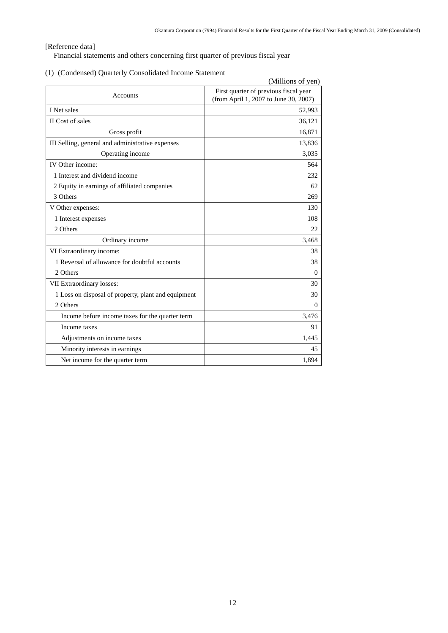### [Reference data]

Financial statements and others concerning first quarter of previous fiscal year

### (1) (Condensed) Quarterly Consolidated Income Statement

|                                                     | (Millions of yen)                                                              |  |  |
|-----------------------------------------------------|--------------------------------------------------------------------------------|--|--|
| Accounts                                            | First quarter of previous fiscal year<br>(from April 1, 2007 to June 30, 2007) |  |  |
| I Net sales                                         | 52,993                                                                         |  |  |
| II Cost of sales                                    | 36,121                                                                         |  |  |
| Gross profit                                        | 16,871                                                                         |  |  |
| III Selling, general and administrative expenses    | 13,836                                                                         |  |  |
| Operating income                                    | 3,035                                                                          |  |  |
| IV Other income:                                    | 564                                                                            |  |  |
| 1 Interest and dividend income                      | 232                                                                            |  |  |
| 2 Equity in earnings of affiliated companies        | 62                                                                             |  |  |
| 3 Others                                            | 269                                                                            |  |  |
| V Other expenses:                                   | 130                                                                            |  |  |
| 1 Interest expenses                                 | 108                                                                            |  |  |
| 2 Others                                            | 22                                                                             |  |  |
| Ordinary income                                     | 3,468                                                                          |  |  |
| VI Extraordinary income:                            | 38                                                                             |  |  |
| 1 Reversal of allowance for doubtful accounts       | 38                                                                             |  |  |
| 2 Others                                            | 0                                                                              |  |  |
| VII Extraordinary losses:                           | 30                                                                             |  |  |
| 1 Loss on disposal of property, plant and equipment | 30                                                                             |  |  |
| 2 Others                                            | 0                                                                              |  |  |
| Income before income taxes for the quarter term     | 3,476                                                                          |  |  |
| Income taxes                                        | 91                                                                             |  |  |
| Adjustments on income taxes                         | 1,445                                                                          |  |  |
| Minority interests in earnings                      | 45                                                                             |  |  |
| Net income for the quarter term                     | 1,894                                                                          |  |  |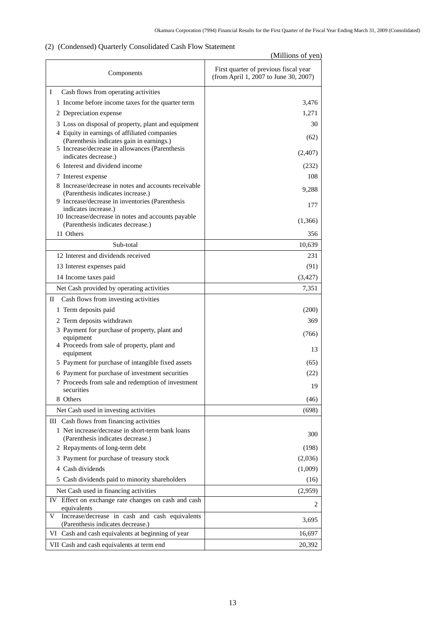### (2) (Condensed) Quarterly Consolidated Cash Flow Statement

|                                                                                              | (Millions of yen)                                                              |  |  |  |
|----------------------------------------------------------------------------------------------|--------------------------------------------------------------------------------|--|--|--|
| Components                                                                                   | First quarter of previous fiscal year<br>(from April 1, 2007 to June 30, 2007) |  |  |  |
| Ι<br>Cash flows from operating activities                                                    |                                                                                |  |  |  |
| 1 Income before income taxes for the quarter term                                            | 3,476                                                                          |  |  |  |
| 2 Depreciation expense                                                                       | 1,271                                                                          |  |  |  |
| 3 Loss on disposal of property, plant and equipment                                          | 30                                                                             |  |  |  |
| 4 Equity in earnings of affiliated companies                                                 | (62)                                                                           |  |  |  |
| (Parenthesis indicates gain in earnings.)<br>5 Increase/decrease in allowances (Parenthesis  |                                                                                |  |  |  |
| indicates decrease.)                                                                         | (2,407)                                                                        |  |  |  |
| 6 Interest and dividend income                                                               | (232)                                                                          |  |  |  |
| 7 Interest expense                                                                           | 108                                                                            |  |  |  |
| 8 Increase/decrease in notes and accounts receivable                                         | 9,288                                                                          |  |  |  |
| (Parenthesis indicates increase.)<br>9 Increase/decrease in inventories (Parenthesis         |                                                                                |  |  |  |
| indicates increase.)                                                                         | 177                                                                            |  |  |  |
| 10 Increase/decrease in notes and accounts payable<br>(Parenthesis indicates decrease.)      | (1,366)                                                                        |  |  |  |
| 11 Others                                                                                    | 356                                                                            |  |  |  |
| Sub-total                                                                                    | 10,639                                                                         |  |  |  |
| 12 Interest and dividends received                                                           | 231                                                                            |  |  |  |
| 13 Interest expenses paid                                                                    | (91)                                                                           |  |  |  |
| 14 Income taxes paid                                                                         | (3,427)                                                                        |  |  |  |
| Net Cash provided by operating activities                                                    | 7,351                                                                          |  |  |  |
| П<br>Cash flows from investing activities                                                    |                                                                                |  |  |  |
| 1 Term deposits paid                                                                         | (200)                                                                          |  |  |  |
| 2 Term deposits withdrawn                                                                    | 369                                                                            |  |  |  |
| 3 Payment for purchase of property, plant and                                                | (766)                                                                          |  |  |  |
| equipment                                                                                    |                                                                                |  |  |  |
| 4 Proceeds from sale of property, plant and<br>equipment                                     | 13                                                                             |  |  |  |
| 5 Payment for purchase of intangible fixed assets                                            | (65)                                                                           |  |  |  |
| 6 Payment for purchase of investment securities                                              | (22)                                                                           |  |  |  |
| 7 Proceeds from sale and redemption of investment                                            | 19                                                                             |  |  |  |
| securities                                                                                   |                                                                                |  |  |  |
| 8 Others                                                                                     | (46)                                                                           |  |  |  |
| Net Cash used in investing activities                                                        | (698)                                                                          |  |  |  |
| III Cash flows from financing activities<br>1 Net increase/decrease in short-term bank loans |                                                                                |  |  |  |
| (Parenthesis indicates decrease.)                                                            | 300                                                                            |  |  |  |
| 2 Repayments of long-term debt                                                               | (198)                                                                          |  |  |  |
| 3 Payment for purchase of treasury stock                                                     | (2,036)                                                                        |  |  |  |
| 4 Cash dividends                                                                             | (1,009)                                                                        |  |  |  |
| 5 Cash dividends paid to minority shareholders                                               | (16)                                                                           |  |  |  |
| Net Cash used in financing activities                                                        | (2,959)                                                                        |  |  |  |
| Effect on exchange rate changes on cash and cash<br>IV<br>equivalents                        | 2                                                                              |  |  |  |
| Increase/decrease in cash and cash equivalents<br>V<br>(Parenthesis indicates decrease.)     | 3,695                                                                          |  |  |  |
| VI Cash and cash equivalents at beginning of year                                            | 16,697                                                                         |  |  |  |
| VII Cash and cash equivalents at term end                                                    | 20,392                                                                         |  |  |  |